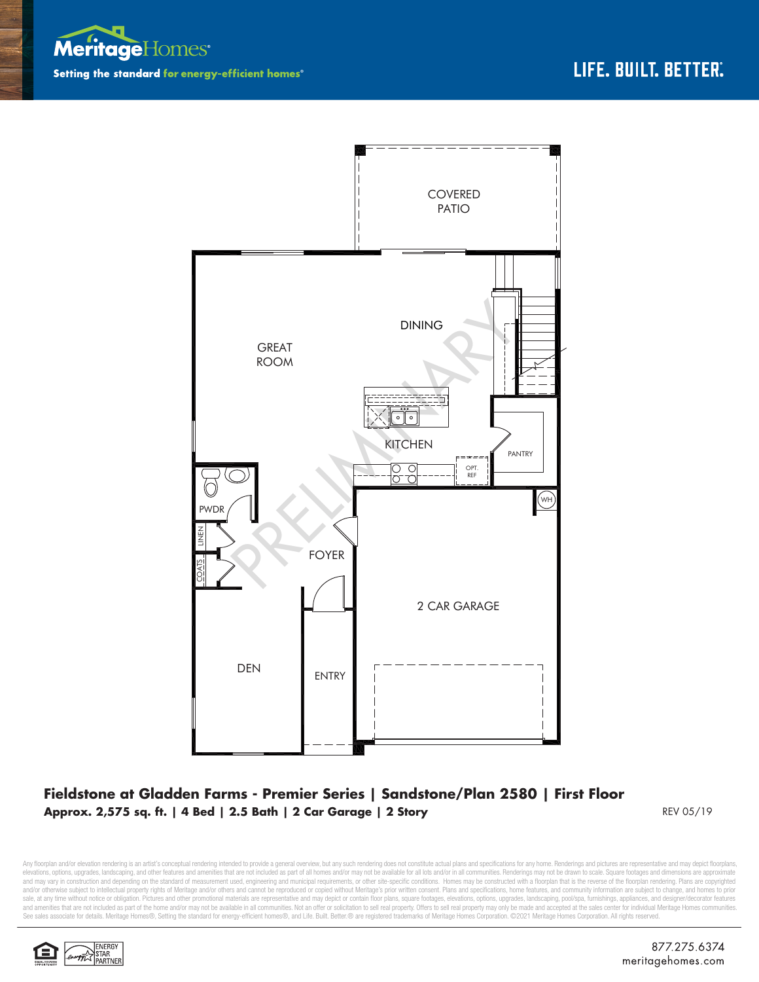



## **Fieldstone at Gladden Farms - Premier Series | Sandstone/Plan 2580 | First Floor Approx. 2,575 sq. ft. | 4 Bed | 2.5 Bath | 2 Car Garage | 2 Story** REV 05/19 REV 05/19

Any floorplan and/or elevation rendering is an artist's conceptual rendering intended to provide a general overview, but any such rendering does not constitute actual plans and specifications for any home. Renderings and p elevations, options, upgrades, landscaping, and other features and amenities that are not included as part of all homes and/or may not be available for all lots and/or in all communities. Renderings may not be drawn to sca and may vary in construction and depending on the standard of measurement used, engineering and municipal requirements, or other site-specific conditions. Homes may be constructed with a floorplan that is the reverse of th and/or otherwise subject to intellectual property rights of Meritage and/or others and cannot be reproduced or copied without Meritage's prior written consent. Plans and specifications, home features, and community informa sale, at any time without notice or obligation. Pictures and other promotional materials are representative and may depict or contain floor plans, square footages, elevations, options, upgrades, landscaping, pool/spa, furn See sales associate for details. Meritage Homes®, Setting the standard for energy-efficient homes®, and Life. Built. Better. @ are registered trademarks of Meritage Homes Corporation. ©2021 Meritage Homes Corporation. All